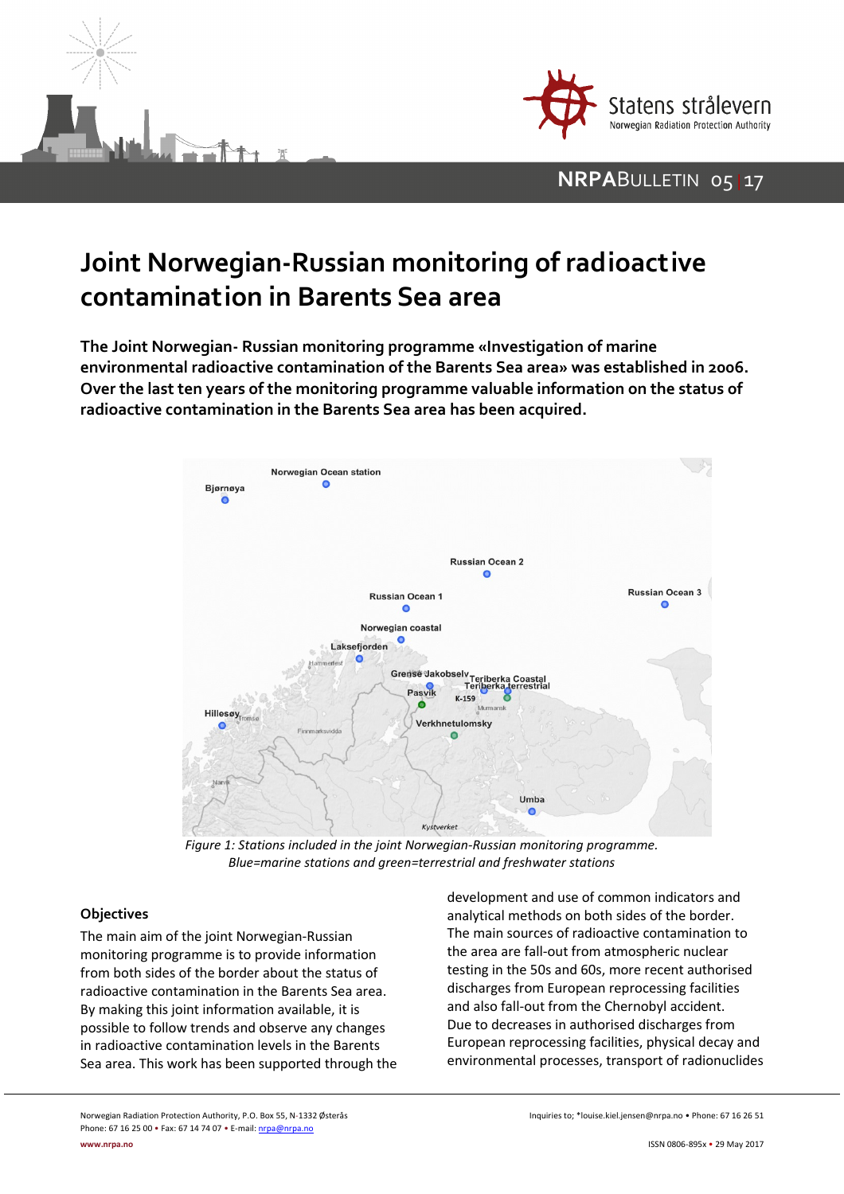



## **NRPA**BULLETIN 05 | 17

# **Joint Norwegian-Russian monitoring of radioactive contamination in Barents Sea area**

**The Joint Norwegian- Russian monitoring programme «Investigation of marine environmental radioactive contamination of the Barents Sea area» was established in 2006. Over the last ten years of the monitoring programme valuable information on the status of radioactive contamination in the Barents Sea area has been acquired.**



*Figure 1: Stations included in the joint Norwegian-Russian monitoring programme. Blue=marine stations and green=terrestrial and freshwater stations*

#### **Objectives**

The main aim of the joint Norwegian-Russian monitoring programme is to provide information from both sides of the border about the status of radioactive contamination in the Barents Sea area. By making this joint information available, it is possible to follow trends and observe any changes in radioactive contamination levels in the Barents Sea area. This work has been supported through the development and use of common indicators and analytical methods on both sides of the border. The main sources of radioactive contamination to the area are fall-out from atmospheric nuclear testing in the 50s and 60s, more recent authorised discharges from European reprocessing facilities and also fall-out from the Chernobyl accident. Due to decreases in authorised discharges from European reprocessing facilities, physical decay and environmental processes, transport of radionuclides